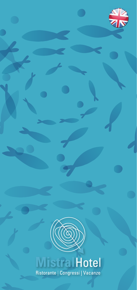



# **Mistral Hotel** Ristorante | Congressi | Vacanze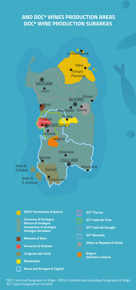### **AND DOCª WINES PRODUCTION AREAS DOCª WINE PRODUCTION SUBAREAS**



aDOC: Controlled Designation of Origin - DOCG: Controlled and Guaranteed Designation of Origin IGT: Typical Geographical Indication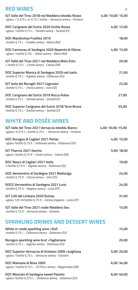| <b>RED WINES</b>                                                                                                       | €                |
|------------------------------------------------------------------------------------------------------------------------|------------------|
| IGT Valle del Tirso 2018 red Nieddera Isteddu Rosso<br>>glass / 0,375 L or 0,75 L bottle - Vernaccia winery - Oristano | 4,00/10,00/15,00 |
| DOC Carignano del Sulcis 2020 Grotta Rossa<br>>glass / bottle 0,75 L - Santadi winery - Santadi (CI)                   | 4,00/12,00       |
| <b>DOC Mandrolisai Fradiles 2019</b><br>>bottle 0,75 L - Fradiles winery - Atzara (NU)                                 | 18,00            |
| DOC Cannonau di Sardegna 2020 Nepente di Oliena<br>>glass / bottle 0,75L - Oliena winery - Oliena (NU)                 | 4,00/13,00       |
| IGT Valle del Tirso 2021 red Nieddera Malu Entu<br>> bottle 0,75 L - Contini winery - Cabras (OR)                      | 20,00            |
| DOC Superior Monica di Sardegna 2020 red Iselis<br>>bottle 0,75 L - Argiolas winery - Dolianova (SU)                   | 21,00            |
| IGT Isola dei Nuraghi 2021 Cagnulari<br>>bottle 0,75 L - Chessa winery - Usini (SS)                                    | 22,00            |
| DOC Carignano del Sulcis 2019 Rocca Rubia<br>>bottle 0,75 L - Santadi winery - Santadi (CI)                            | 27,00            |
| DOC Superior Carignano del Sulcis 2018 Terre Brune<br>>bottle 0,75 L - Santadi winery - Santadi (CI)                   | 55,00            |
| <b>WHITE AND ROSÉE WINES</b>                                                                                           |                  |
| IGT Valle del Tirso 2021 Vernaccia Isteddu Bianco<br>>glass/ 0,375 L / bottle 0,75 L - Vernaccia winery - Oristano     | 4,00/10,00/15,00 |
| DOC Nuragus di Cagliari 2021 Perlas<br>>glass /bottle 0,75 lt - Dolianova winery - Dolianova (SU)                      | 4,00/15,00       |
| <b>IGT Tharros 2021 Karmis</b><br>>glass /bottle 0,75 lt - Contini winery - Cabras (OR)                                | 5,00/18,00       |
| DOC Nasco di Cagliari 2021 Iselis<br>>/bottle 0,75 lt - Argiolas winery - Dolianova (SU)                               | 19,00            |
| DOC Vermentino di Sardegna 2021 Mattariga<br>>bottle 0,75 lt - Chessa winery - Usini (SS)                              | 24,00            |
| DOCG Vermentino di Sardegna 2021 Luris<br>>bottle 0,75 lt - Depperu winery - Luras (OT)                                | 24,00            |
| IGT Colli del Limbara 2020 Ruinas<br>>glass 120 ml/bottle 0,75 lt - Cantina Depperu - Luras (OT)                       | 31,00            |
| IGT Valle del Tirso 2021 rosée Nieddera Seu<br>>bottle 0,75 lt - Vernaccia winery - Oristano                           | 15,00            |
| <b>SPARKLING DRINKS AND DESSERT WINES</b>                                                                              |                  |

| White or rosée sparkling wine >Doli<br>>bottle 0,75 L - Dolianova winery - Dolianova (SU)                   | 15,00      |
|-------------------------------------------------------------------------------------------------------------|------------|
| Nuragus sparkling wine brut >Tagliamare<br>>bottle 0,75 L - Argiolas winery - Dolianova (SU)                | 20,00      |
| DOC Superior Vernaccia di Oristano 2009 > Juighissa<br>>glass / bottle 0,75 L - Vernaccia winery - Oristano | 5,00/20,00 |
| DOC Malvasia di Bosa 2005<br>>glass / bottle 0,75 L - F.lli Porcu winery - Magomadas (OR)                   | 6.00/34.00 |
| DOC Moscato di Sardegna sweet Passito<br>>glass /bottle 0,375 L - Dolianova winery - Dolianova (SU)         | 6,00/40,00 |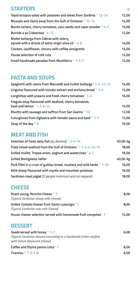# **STARTERS** ∈

| Tepid octopus salad with potatoes and olives from Sardinia ° 12-14                                | 12,00 |
|---------------------------------------------------------------------------------------------------|-------|
| Mussels and clams soup from the Gulf of Oristano ° 12-14                                          | 14,00 |
| Bonito tartare, cherry tomatoes, casu axedu and caper powder °4-7                                 | 14,00 |
| Burrida a sa Crabarissa ° 4-12                                                                    | 12,00 |
| Mullet bottarga from Cabras with celery,<br>served with a drizzle of extra-virgin olive oil ° 4-9 | 14,00 |
| Chicken, cauliflower, chicory with coffee vinaigrette                                             | 14,00 |
| House selection of cold cuts                                                                      | 12,00 |
| Small handmade panadas from Montiferru ° 1-3-7                                                    | 12,00 |

#### **PASTA AND SOUPS**

| Spaghetti with clams from Marceddi and mullet bottarga ° 1-4-12-14                  | 14,00 |
|-------------------------------------------------------------------------------------|-------|
| Linguine flavoured with tomato extract and anchovy bread ° 1-4                      | 12,00 |
| Lorighittas with prawns and fresh cherry tomatoes <sup>o</sup> 1-2                  | 16,00 |
| Fregula soup flavoured with seafood, cherry tomatoes,<br>basil and lemon ° 1-2-4-14 | 14,00 |
| Risotto with sausage and saffron from San Gavino ° 12                               | 12,00 |
| Culurgiones from Ogliastra with tomato sauce and basil ° 1-7                        | 12,00 |
| Soup of the day °9                                                                  | 10,00 |
|                                                                                     |       |

## **MEAT AND FISH**

| Selection of fresh daily fish (as desired) ° 2-4-14                    | 50,00/kg |
|------------------------------------------------------------------------|----------|
| Fried mixed seafood from the Gulf of Oristano* ° 1-2-4-12-14           | 18,00    |
| Grilled mullet, Tropea onion, yoghurt and watercress °4-7              | 16,00    |
| <b>Grilled Bortigalesa heifer</b>                                      | 40,00/kg |
| Pork fillet in a crust of guttiau bread, mustard and wild herbs ° 1-10 | 16,00    |
| Wild sheep flavoured with myrtle and mountain potatoes                 | 16,00    |
| Sardinian roast piglet (2 people minimum and on request)               | 18,00    |

# **CHEESE**

| Roast young <i>Pecorino</i> cheese ° 7<br>(Typical Sardinian sheep milk cheese)                    | 8,00  |
|----------------------------------------------------------------------------------------------------|-------|
| Grilled Casizolu cheese from Santu Lussurgiu <sup>o</sup> 7<br>(Typical Sardinian cow milk cheese) | 8,00  |
| House cheese selection served with homemade fruit compotes <sup>o</sup> 7                          | 12,00 |
| <b>DESSERT</b>                                                                                     |       |

| Seada served with honey ° 1-7                                       | 6.00 |
|---------------------------------------------------------------------|------|
| (Typical Sardinian dessert consisting in a handmade fritter stuffed |      |
| with lemon-flavoured cheese)                                        |      |
| Coffee and thyme panna cotta ° 7                                    | 6.00 |
| Tiramisu $\degree$ 1-3-7-8                                          | 6.00 |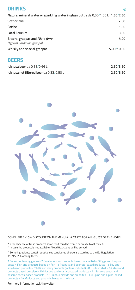| <b>DRINKS</b>                                                                     | €          |
|-----------------------------------------------------------------------------------|------------|
| Natural mineral water or sparkling water in glass bottle da 0,50/1,00 L 1,50/2,50 |            |
| Soft drinks                                                                       | 2,50       |
| Coffee                                                                            | 1,00       |
| Local liqueurs                                                                    | 3,00       |
| Bitters, grappas and Filu 'e ferru<br>(Typical Sardinian grappa)                  | 4,00       |
| Whisky and special grappas                                                        | 5,00/10,00 |
| <b>BEERS</b>                                                                      |            |
| Ichnusa beer da 0,33/0,66 L                                                       | 2,50/3,50  |
| Ichnusa not filtered beer da 0,33/0,50 L                                          | 2,50/3,50  |



COVER: FREE - 10% DISCOUNT ON THE MENU A LA CARTE FOR ALL GUEST OF THE HOTEL

\*In the absence of fresh products some food could be frozen or on site blast chilled. ^ In case the product is not available, Nieddittas clams will be served.

° Some ingredients contain substances considered allergens according to the EU Regulation 1169/2011, among them:

1 Cereal containing gluten - 2 Crustacean and products based on shellfish - 3 Eggs and by-products 4 Fish and products based on fish - 5 Peanuts and peanuts-based products - 6 Soy and soy-based products - 7 Milk and dairy products (lactose included) - 8 Fruits in shell - 9 Celery and products based on celery -10 Mustard and mustard-based products - 11 Sesame seeds and sesame seeds-based products - 12 Sulphur dioxide and sulphites - 13 Lupine and lupine-based products - 14 Molluscs and products based on molluscs

For more information ask the waiter.